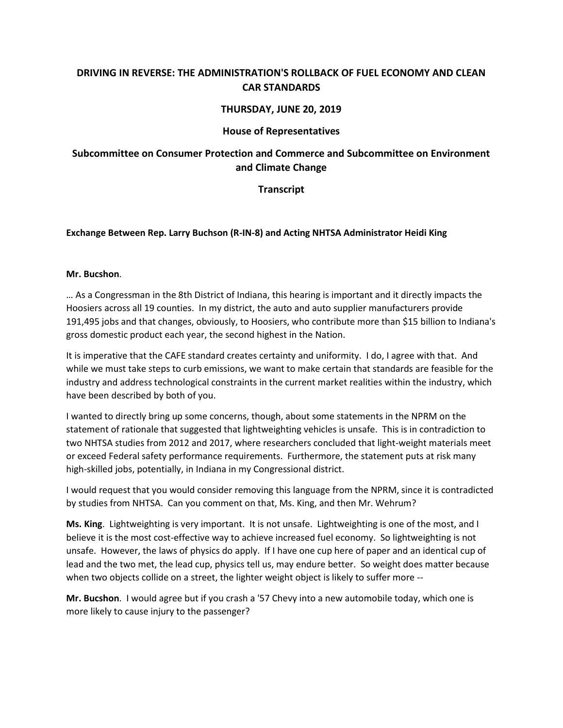## **DRIVING IN REVERSE: THE ADMINISTRATION'S ROLLBACK OF FUEL ECONOMY AND CLEAN CAR STANDARDS**

### **THURSDAY, JUNE 20, 2019**

#### **House of Representatives**

# **Subcommittee on Consumer Protection and Commerce and Subcommittee on Environment and Climate Change**

### **Transcript**

### **Exchange Between Rep. Larry Buchson (R-IN-8) and Acting NHTSA Administrator Heidi King**

#### **Mr. Bucshon**.

… As a Congressman in the 8th District of Indiana, this hearing is important and it directly impacts the Hoosiers across all 19 counties. In my district, the auto and auto supplier manufacturers provide 191,495 jobs and that changes, obviously, to Hoosiers, who contribute more than \$15 billion to Indiana's gross domestic product each year, the second highest in the Nation.

It is imperative that the CAFE standard creates certainty and uniformity. I do, I agree with that. And while we must take steps to curb emissions, we want to make certain that standards are feasible for the industry and address technological constraints in the current market realities within the industry, which have been described by both of you.

I wanted to directly bring up some concerns, though, about some statements in the NPRM on the statement of rationale that suggested that lightweighting vehicles is unsafe. This is in contradiction to two NHTSA studies from 2012 and 2017, where researchers concluded that light-weight materials meet or exceed Federal safety performance requirements. Furthermore, the statement puts at risk many high-skilled jobs, potentially, in Indiana in my Congressional district.

I would request that you would consider removing this language from the NPRM, since it is contradicted by studies from NHTSA. Can you comment on that, Ms. King, and then Mr. Wehrum?

**Ms. King**. Lightweighting is very important. It is not unsafe. Lightweighting is one of the most, and I believe it is the most cost-effective way to achieve increased fuel economy. So lightweighting is not unsafe. However, the laws of physics do apply. If I have one cup here of paper and an identical cup of lead and the two met, the lead cup, physics tell us, may endure better. So weight does matter because when two objects collide on a street, the lighter weight object is likely to suffer more --

**Mr. Bucshon**. I would agree but if you crash a '57 Chevy into a new automobile today, which one is more likely to cause injury to the passenger?